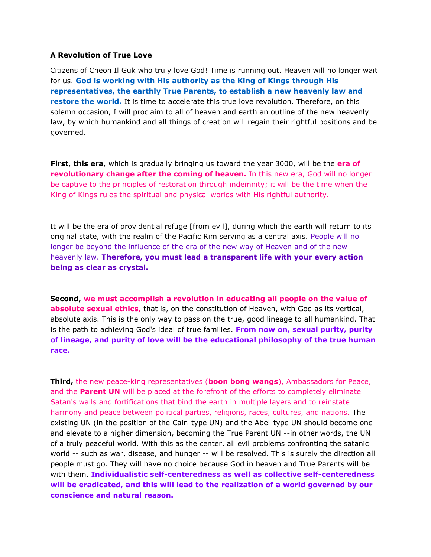## **A Revolution of True Love**

Citizens of Cheon Il Guk who truly love God! Time is running out. Heaven will no longer wait for us. **God is working with His authority as the King of Kings through His representatives, the earthly True Parents, to establish a new heavenly law and restore the world.** It is time to accelerate this true love revolution. Therefore, on this solemn occasion, I will proclaim to all of heaven and earth an outline of the new heavenly law, by which humankind and all things of creation will regain their rightful positions and be governed.

**First, this era,** which is gradually bringing us toward the year 3000, will be the **era of revolutionary change after the coming of heaven.** In this new era, God will no longer be captive to the principles of restoration through indemnity; it will be the time when the King of Kings rules the spiritual and physical worlds with His rightful authority.

It will be the era of providential refuge [from evil], during which the earth will return to its original state, with the realm of the Pacific Rim serving as a central axis. People will no longer be beyond the influence of the era of the new way of Heaven and of the new heavenly law. **Therefore, you must lead a transparent life with your every action being as clear as crystal.**

**Second, we must accomplish a revolution in educating all people on the value of absolute sexual ethics,** that is, on the constitution of Heaven, with God as its vertical, absolute axis. This is the only way to pass on the true, good lineage to all humankind. That is the path to achieving God's ideal of true families. **From now on, sexual purity, purity of lineage, and purity of love will be the educational philosophy of the true human race.**

**Third,** the new peace-king representatives (**boon bong wangs**), Ambassadors for Peace, and the **Parent UN** will be placed at the forefront of the efforts to completely eliminate Satan's walls and fortifications that bind the earth in multiple layers and to reinstate harmony and peace between political parties, religions, races, cultures, and nations. The existing UN (in the position of the Cain-type UN) and the Abel-type UN should become one and elevate to a higher dimension, becoming the True Parent UN --in other words, the UN of a truly peaceful world. With this as the center, all evil problems confronting the satanic world -- such as war, disease, and hunger -- will be resolved. This is surely the direction all people must go. They will have no choice because God in heaven and True Parents will be with them. **Individualistic self-centeredness as well as collective self-centeredness will be eradicated, and this will lead to the realization of a world governed by our conscience and natural reason.**